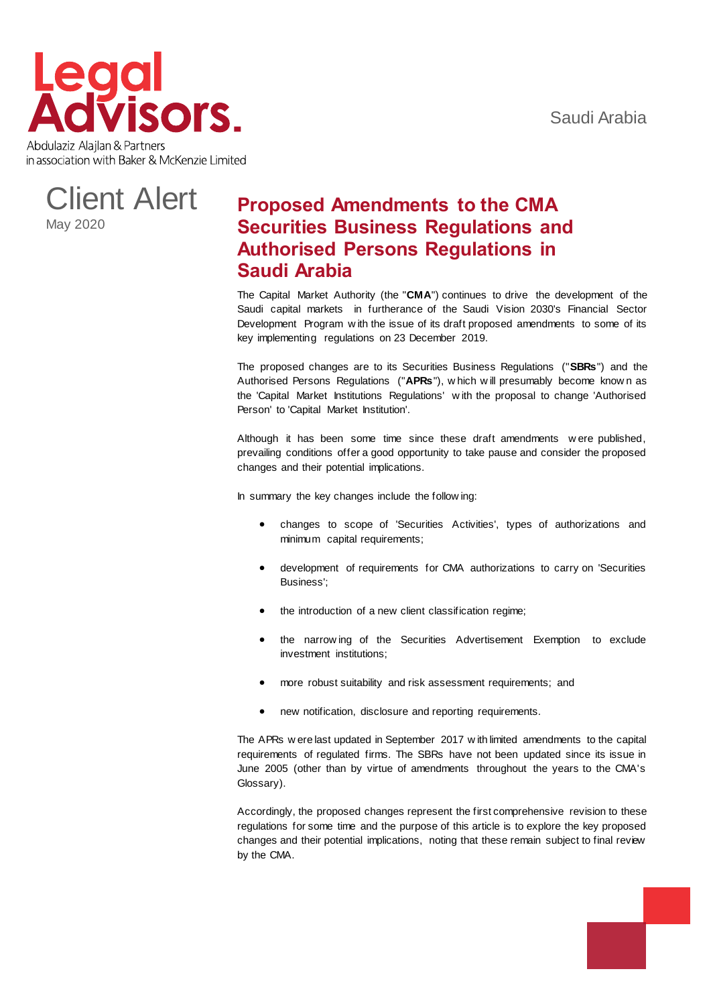



# **Proposed Amendments to the CMA Securities Business Regulations and Authorised Persons Regulations in Saudi Arabia**

The Capital Market Authority (the "**CMA**") continues to drive the development of the Saudi capital markets in furtherance of the Saudi Vision 2030's Financial Sector Development Program w ith the issue of its draft proposed amendments to some of its key implementing regulations on 23 December 2019.

The proposed changes are to its Securities Business Regulations ("**SBRs**") and the Authorised Persons Regulations ("**APRs**"), w hich w ill presumably become know n as the 'Capital Market Institutions Regulations' w ith the proposal to change 'Authorised Person' to 'Capital Market Institution'.

Although it has been some time since these draft amendments w ere published, prevailing conditions offer a good opportunity to take pause and consider the proposed changes and their potential implications.

In summary the key changes include the follow ing:

- changes to scope of 'Securities Activities', types of authorizations and minimum capital requirements;
- development of requirements for CMA authorizations to carry on 'Securities Business';
- the introduction of a new client classification regime;
- the narrow ing of the Securities Advertisement Exemption to exclude investment institutions;
- more robust suitability and risk assessment requirements; and
- new notification, disclosure and reporting requirements.

The APRs w ere last updated in September 2017 w ith limited amendments to the capital requirements of regulated firms. The SBRs have not been updated since its issue in June 2005 (other than by virtue of amendments throughout the years to the CMA's Glossary).

Accordingly, the proposed changes represent the first comprehensive revision to these regulations for some time and the purpose of this article is to explore the key proposed changes and their potential implications, noting that these remain subject to final review by the CMA.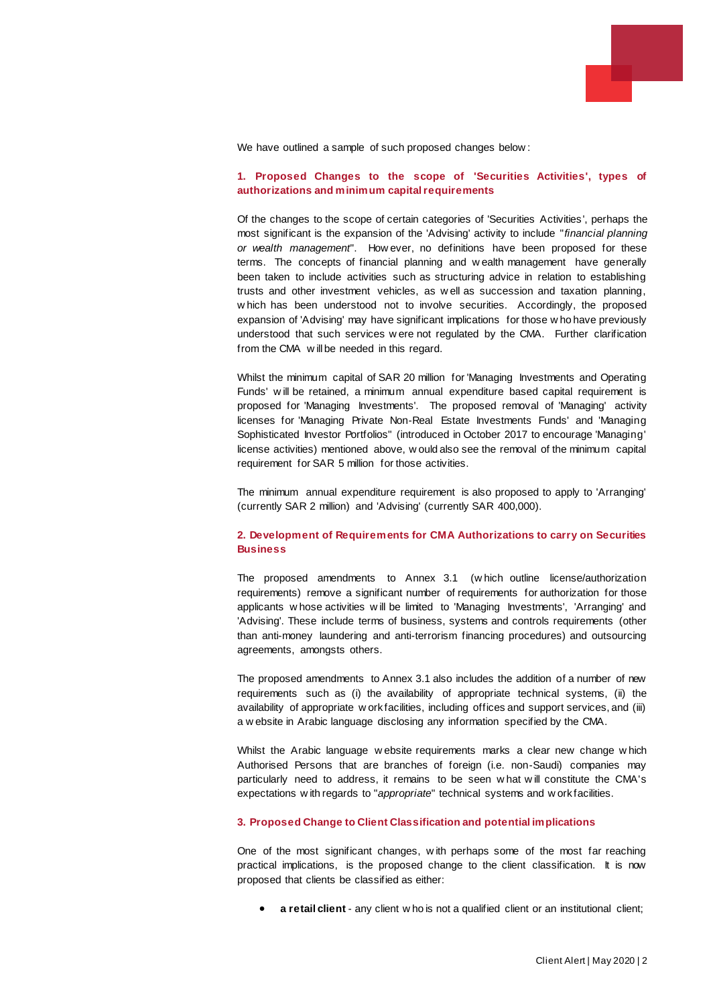

We have outlined a sample of such proposed changes below:

#### **1. Proposed Changes to the scope of 'Securities Activities', types of authorizations and minimum capital requirements**

Of the changes to the scope of certain categories of 'Securities Activities', perhaps the most significant is the expansion of the 'Advising' activity to include "*financial planning or wealth management*". How ever, no definitions have been proposed for these terms. The concepts of financial planning and w ealth management have generally been taken to include activities such as structuring advice in relation to establishing trusts and other investment vehicles, as w ell as succession and taxation planning, w hich has been understood not to involve securities. Accordingly, the proposed expansion of 'Advising' may have significant implications for those w ho have previously understood that such services w ere not regulated by the CMA. Further clarification from the CMA w ill be needed in this regard.

Whilst the minimum capital of SAR 20 million for 'Managing Investments and Operating Funds' w ill be retained, a minimum annual expenditure based capital requirement is proposed for 'Managing Investments'. The proposed removal of 'Managing' activity licenses for 'Managing Private Non-Real Estate Investments Funds' and 'Managing Sophisticated Investor Portfolios" (introduced in October 2017 to encourage 'Managing' license activities) mentioned above, w ould also see the removal of the minimum capital requirement for SAR 5 million for those activities.

The minimum annual expenditure requirement is also proposed to apply to 'Arranging' (currently SAR 2 million) and 'Advising' (currently SAR 400,000).

#### **2. Development of Requirements for CMA Authorizations to carry on Securities Business**

The proposed amendments to Annex 3.1 (w hich outline license/authorization requirements) remove a significant number of requirements for authorization for those applicants w hose activities w ill be limited to 'Managing Investments', 'Arranging' and 'Advising'. These include terms of business, systems and controls requirements (other than anti-money laundering and anti-terrorism financing procedures) and outsourcing agreements, amongsts others.

The proposed amendments to Annex 3.1 also includes the addition of a number of new requirements such as (i) the availability of appropriate technical systems, (ii) the availability of appropriate w ork facilities, including offices and support services, and (iii) a w ebsite in Arabic language disclosing any information specified by the CMA.

Whilst the Arabic language w ebsite requirements marks a clear new change w hich Authorised Persons that are branches of foreign (i.e. non-Saudi) companies may particularly need to address, it remains to be seen w hat w ill constitute the CMA's expectations w ith regards to "*appropriate*" technical systems and w ork facilities.

#### **3. Proposed Change to Client Classification and potential implications**

One of the most significant changes, w ith perhaps some of the most far reaching practical implications, is the proposed change to the client classification. It is now proposed that clients be classified as either:

**a retail client** - any client w ho is not a qualified client or an institutional client;